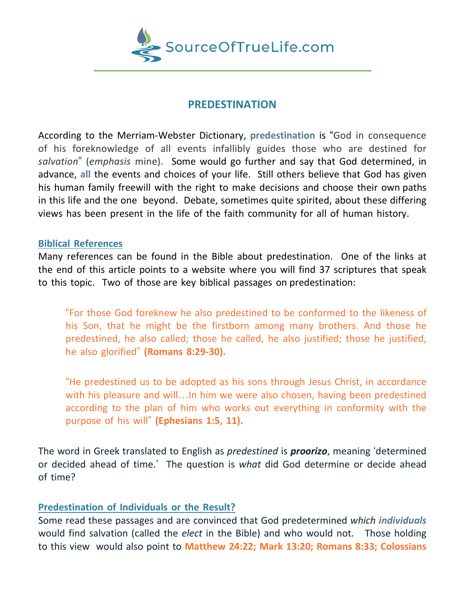

# **PREDESTINATION**

According to the Merriam-Webster Dictionary, **predestination** is "God in consequence of his foreknowledge of all events infallibly guides those who are destined for *salvation*" (*emphasis* mine). Some would go further and say that God determined, in advance, **all** the events and choices of your life. Still others believe that God has given his human family freewill with the right to make decisions and choose their own paths in this life and the one beyond. Debate, sometimes quite spirited, about these differing views has been present in the life of the faith community for all of human history.

### **Biblical References**

Many references can be found in the Bible about predestination. One of the links at the end of this article points to a website where you will find 37 scriptures that speak to this topic. Two of those are key biblical passages on predestination:

"For those God foreknew he also predestined to be conformed to the likeness of his Son, that he might be the firstborn among many brothers. And those he predestined, he also called; those he called, he also justified; those he justified, he also glorified" **(Romans 8:29-30).**

"He predestined us to be adopted as his sons through Jesus Christ, in accordance with his pleasure and will... In him we were also chosen, having been predestined according to the plan of him who works out everything in conformity with the purpose of his will" **(Ephesians 1:5, 11).**

The word in Greek translated to English as *predestined* is *proorizo*, meaning 'determined or decided ahead of time.' The question is *what* did God determine or decide ahead of time?

## **Predestination of Individuals or the Result?**

Some read these passages and are convinced that God predetermined *which individuals* would find salvation (called the *elect* in the Bible) and who would not. Those holding to this view would also point to **Matthew 24:22; Mark 13:20; Romans 8:33; Colossians**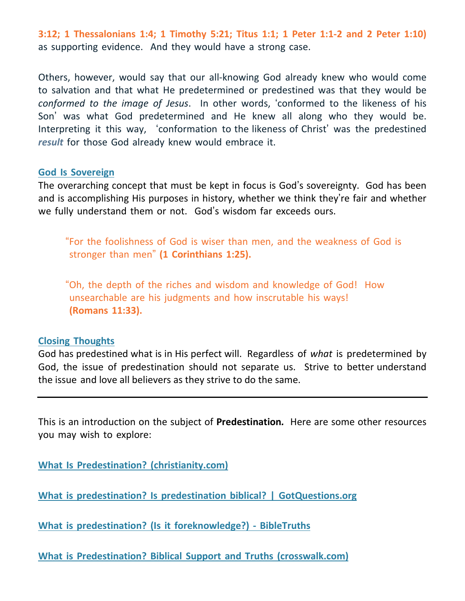**3:12; 1 Thessalonians 1:4; 1 Timothy 5:21; Titus 1:1; 1 Peter 1:1-2 and 2 Peter 1:10)** as supporting evidence. And they would have a strong case.

Others, however, would say that our all-knowing God already knew who would come to salvation and that what He predetermined or predestined was that they would be *conformed to the image of Jesus*. In other words, 'conformed to the likeness of his Son' was what God predetermined and He knew all along who they would be. Interpreting it this way, 'conformation to the likeness of Christ' was the predestined *result* for those God already knew would embrace it.

### **God Is Sovereign**

The overarching concept that must be kept in focus is God's sovereignty. God has been and is accomplishing His purposes in history, whether we think they're fair and whether we fully understand them or not. God's wisdom far exceeds ours.

"For the foolishness of God is wiser than men, and the weakness of God is stronger than men" **(1 Corinthians 1:25).**

"Oh, the depth of the riches and wisdom and knowledge of God! How unsearchable are his judgments and how inscrutable his ways! **(Romans 11:33).**

### **Closing Thoughts**

God has predestined what is in His perfect will. Regardless of *what* is predetermined by God, the issue of predestination should not separate us. Strive to better understand the issue and love all believers as they strive to do the same.

This is an introduction on the subject of **Predestination***.* Here are some other resources you may wish to explore:

**What Is Predestination? [\(christianity.com\)](https://www.christianity.com/wiki/christian-terms/what-is-predestination.html)**

**What is predestination? Is predestination biblical? | [GotQuestions.org](https://www.gotquestions.org/predestination.html)**

**What is predestination? (Is it [foreknowledge?\)](https://www.bibletruths.org/what-is-predestination/) - BibleTruths**

**What is Predestination? Biblical Support and Truths [\(crosswalk.com\)](https://www.crosswalk.com/faith/bible-study/straight-talk-about-predestination-part-1.html)**